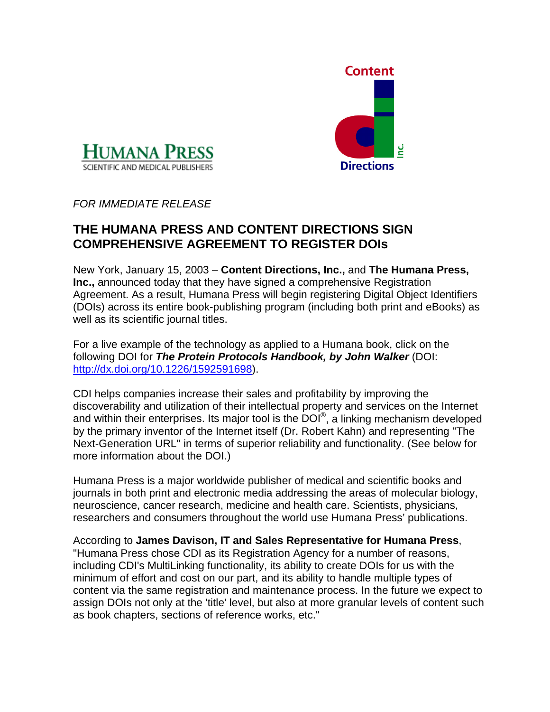



*FOR IMMEDIATE RELEASE* 

## **THE HUMANA PRESS AND CONTENT DIRECTIONS SIGN COMPREHENSIVE AGREEMENT TO REGISTER DOIs**

New York, January 15, 2003 – **Content Directions, Inc.,** and **The Humana Press, Inc.,** announced today that they have signed a comprehensive Registration Agreement. As a result, Humana Press will begin registering Digital Object Identifiers (DOIs) across its entire book-publishing program (including both print and eBooks) as well as its scientific journal titles.

For a live example of the technology as applied to a Humana book, click on the following DOI for *The Protein Protocols Handbook, by John Walker* (DOI: [http://dx.doi.org/10.1226/1592591698\)](http://dx.doi.org/10.1226/1592591698).

CDI helps companies increase their sales and profitability by improving the discoverability and utilization of their intellectual property and services on the Internet and within their enterprises. Its major tool is the  $\overline{DO}^{0}$ , a linking mechanism developed by the primary inventor of the Internet itself (Dr. Robert Kahn) and representing "The Next-Generation URL" in terms of superior reliability and functionality. (See below for more information about the DOI.)

Humana Press is a major worldwide publisher of medical and scientific books and journals in both print and electronic media addressing the areas of molecular biology, neuroscience, cancer research, medicine and health care. Scientists, physicians, researchers and consumers throughout the world use Humana Press' publications.

According to **James Davison, IT and Sales Representative for Humana Press**, "Humana Press chose CDI as its Registration Agency for a number of reasons, including CDI's MultiLinking functionality, its ability to create DOIs for us with the minimum of effort and cost on our part, and its ability to handle multiple types of content via the same registration and maintenance process. In the future we expect to assign DOIs not only at the 'title' level, but also at more granular levels of content such as book chapters, sections of reference works, etc."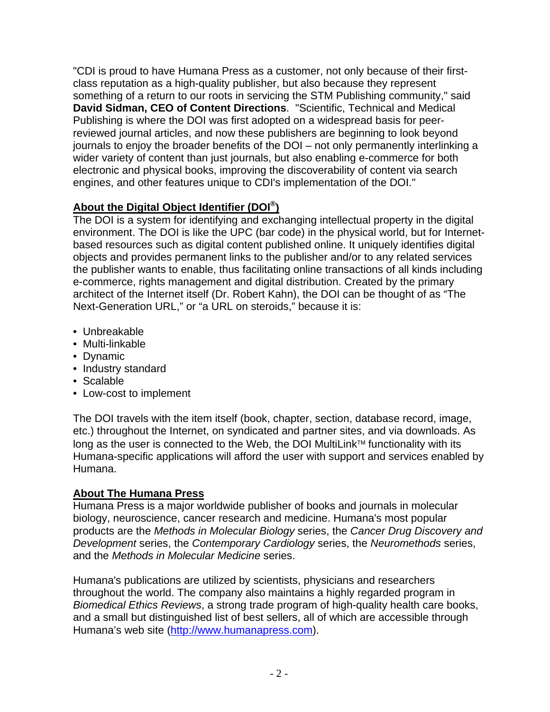"CDI is proud to have Humana Press as a customer, not only because of their firstclass reputation as a high-quality publisher, but also because they represent something of a return to our roots in servicing the STM Publishing community," said **David Sidman, CEO of Content Directions**. "Scientific, Technical and Medical Publishing is where the DOI was first adopted on a widespread basis for peerreviewed journal articles, and now these publishers are beginning to look beyond journals to enjoy the broader benefits of the DOI – not only permanently interlinking a wider variety of content than just journals, but also enabling e-commerce for both electronic and physical books, improving the discoverability of content via search engines, and other features unique to CDI's implementation of the DOI."

## **About the Digital Object Identifier (DOI®)**

The DOI is a system for identifying and exchanging intellectual property in the digital environment. The DOI is like the UPC (bar code) in the physical world, but for Internetbased resources such as digital content published online. It uniquely identifies digital objects and provides permanent links to the publisher and/or to any related services the publisher wants to enable, thus facilitating online transactions of all kinds including e-commerce, rights management and digital distribution. Created by the primary architect of the Internet itself (Dr. Robert Kahn), the DOI can be thought of as "The Next-Generation URL," or "a URL on steroids," because it is:

- Unbreakable
- Multi-linkable
- Dynamic
- Industry standard
- Scalable
- Low-cost to implement

The DOI travels with the item itself (book, chapter, section, database record, image, etc.) throughout the Internet, on syndicated and partner sites, and via downloads. As long as the user is connected to the Web, the DOI MultiLink™ functionality with its Humana-specific applications will afford the user with support and services enabled by Humana.

## **About The Humana Press**

Humana Press is a major worldwide publisher of books and journals in molecular biology, neuroscience, cancer research and medicine. Humana's most popular products are the *Methods in Molecular Biology* series, the *Cancer Drug Discovery and Development* series, the *Contemporary Cardiology* series, the *Neuromethods* series, and the *Methods in Molecular Medicine* series.

Humana's publications are utilized by scientists, physicians and researchers throughout the world. The company also maintains a highly regarded program in *Biomedical Ethics Reviews*, a strong trade program of high-quality health care books, and a small but distinguished list of best sellers, all of which are accessible through Humana's web site [\(http://www.humanapress.com](http://www.humanapress.com/)).